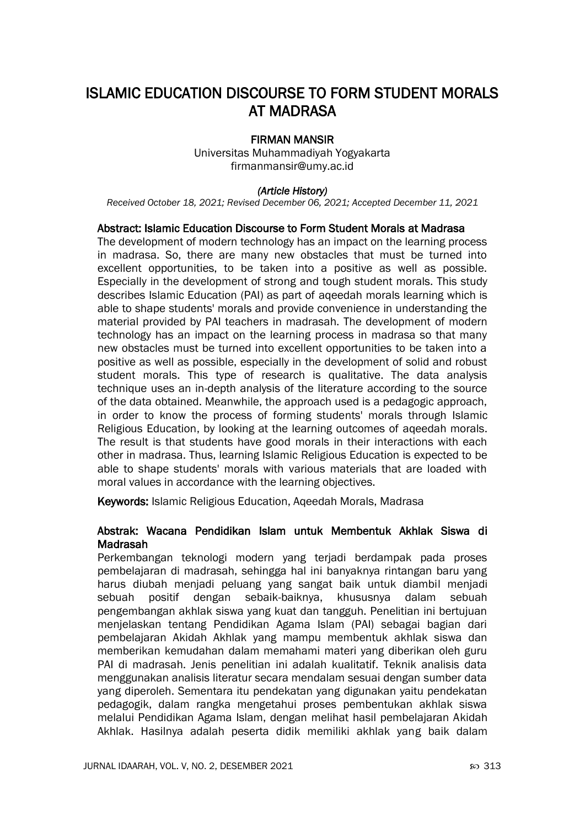# ISLAMIC EDUCATION DISCOURSE TO FORM STUDENT MORALS AT MADRASA

## FIRMAN MANSIR

Universitas Muhammadiyah Yogyakarta firmanmansir@umy.ac.id

### *(Article History)*

*Received October 18, 2021; Revised December 06, 2021; Accepted December 11, 2021*

### Abstract: Islamic Education Discourse to Form Student Morals at Madrasa

The development of modern technology has an impact on the learning process in madrasa. So, there are many new obstacles that must be turned into excellent opportunities, to be taken into a positive as well as possible. Especially in the development of strong and tough student morals. This study describes Islamic Education (PAI) as part of aqeedah morals learning which is able to shape students' morals and provide convenience in understanding the material provided by PAI teachers in madrasah. The development of modern technology has an impact on the learning process in madrasa so that many new obstacles must be turned into excellent opportunities to be taken into a positive as well as possible, especially in the development of solid and robust student morals. This type of research is qualitative. The data analysis technique uses an in-depth analysis of the literature according to the source of the data obtained. Meanwhile, the approach used is a pedagogic approach, in order to know the process of forming students' morals through Islamic Religious Education, by looking at the learning outcomes of aqeedah morals. The result is that students have good morals in their interactions with each other in madrasa. Thus, learning Islamic Religious Education is expected to be able to shape students' morals with various materials that are loaded with moral values in accordance with the learning objectives.

Keywords: Islamic Religious Education, Aqeedah Morals, Madrasa

## Abstrak: Wacana Pendidikan Islam untuk Membentuk Akhlak Siswa di Madrasah

Perkembangan teknologi modern yang terjadi berdampak pada proses pembelajaran di madrasah, sehingga hal ini banyaknya rintangan baru yang harus diubah menjadi peluang yang sangat baik untuk diambil menjadi sebuah positif dengan sebaik-baiknya, khususnya dalam sebuah pengembangan akhlak siswa yang kuat dan tangguh. Penelitian ini bertujuan menjelaskan tentang Pendidikan Agama Islam (PAI) sebagai bagian dari pembelajaran Akidah Akhlak yang mampu membentuk akhlak siswa dan memberikan kemudahan dalam memahami materi yang diberikan oleh guru PAI di madrasah. Jenis penelitian ini adalah kualitatif. Teknik analisis data menggunakan analisis literatur secara mendalam sesuai dengan sumber data yang diperoleh. Sementara itu pendekatan yang digunakan yaitu pendekatan pedagogik, dalam rangka mengetahui proses pembentukan akhlak siswa melalui Pendidikan Agama Islam, dengan melihat hasil pembelajaran Akidah Akhlak. Hasilnya adalah peserta didik memiliki akhlak yang baik dalam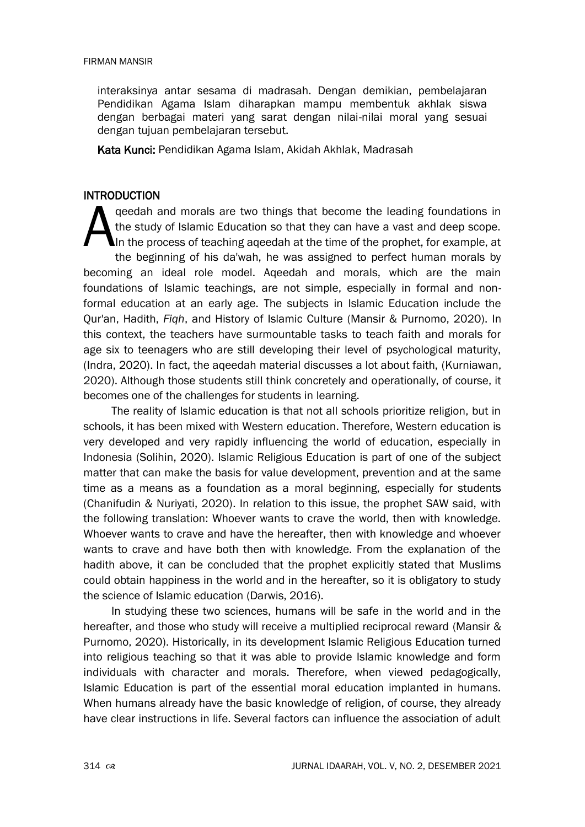interaksinya antar sesama di madrasah. Dengan demikian, pembelajaran Pendidikan Agama Islam diharapkan mampu membentuk akhlak siswa dengan berbagai materi yang sarat dengan nilai-nilai moral yang sesuai dengan tujuan pembelajaran tersebut.

Kata Kunci: Pendidikan Agama Islam, Akidah Akhlak, Madrasah

# INTRODUCTION

qeedah and morals are two things that become the leading foundations in the study of Islamic Education so that they can have a vast and deep scope. In the process of teaching aqeedah at the time of the prophet, for example, at the beginning of his da'wah, he was assigned to perfect human morals by becoming an ideal role model. Aqeedah and morals, which are the main foundations of Islamic teachings, are not simple, especially in formal and nonformal education at an early age. The subjects in Islamic Education include the Qur'an, Hadith, *Fiqh*, and History of Islamic Culture (Mansir & Purnomo, 2020). In this context, the teachers have surmountable tasks to teach faith and morals for age six to teenagers who are still developing their level of psychological maturity, (Indra, 2020). In fact, the aqeedah material discusses a lot about faith, (Kurniawan, 2020). Although those students still think concretely and operationally, of course, it becomes one of the challenges for students in learning.  $\overline{A}$ 

The reality of Islamic education is that not all schools prioritize religion, but in schools, it has been mixed with Western education. Therefore, Western education is very developed and very rapidly influencing the world of education, especially in Indonesia (Solihin, 2020). Islamic Religious Education is part of one of the subject matter that can make the basis for value development, prevention and at the same time as a means as a foundation as a moral beginning, especially for students (Chanifudin & Nuriyati, 2020). In relation to this issue, the prophet SAW said, with the following translation: Whoever wants to crave the world, then with knowledge. Whoever wants to crave and have the hereafter, then with knowledge and whoever wants to crave and have both then with knowledge. From the explanation of the hadith above, it can be concluded that the prophet explicitly stated that Muslims could obtain happiness in the world and in the hereafter, so it is obligatory to study the science of Islamic education (Darwis, 2016).

In studying these two sciences, humans will be safe in the world and in the hereafter, and those who study will receive a multiplied reciprocal reward (Mansir & Purnomo, 2020). Historically, in its development Islamic Religious Education turned into religious teaching so that it was able to provide Islamic knowledge and form individuals with character and morals. Therefore, when viewed pedagogically, Islamic Education is part of the essential moral education implanted in humans. When humans already have the basic knowledge of religion, of course, they already have clear instructions in life. Several factors can influence the association of adult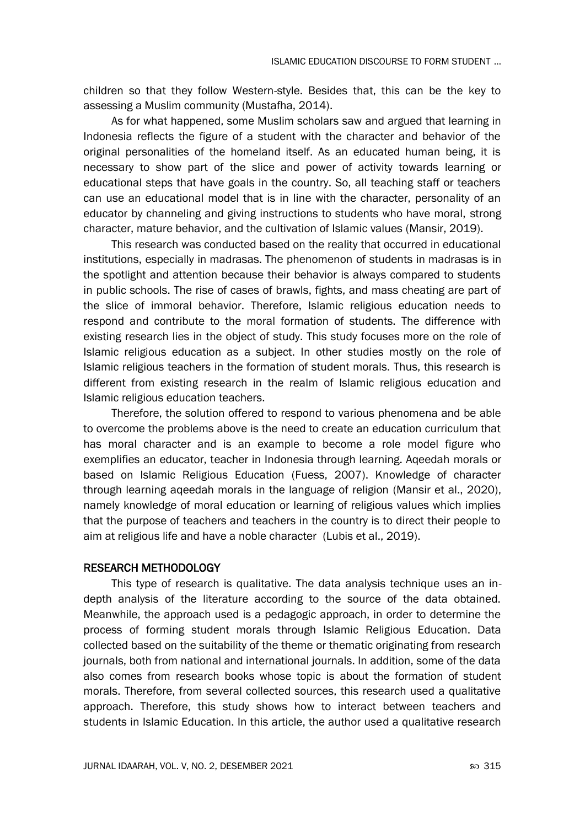children so that they follow Western-style. Besides that, this can be the key to assessing a Muslim community (Mustafha, 2014).

As for what happened, some Muslim scholars saw and argued that learning in Indonesia reflects the figure of a student with the character and behavior of the original personalities of the homeland itself. As an educated human being, it is necessary to show part of the slice and power of activity towards learning or educational steps that have goals in the country. So, all teaching staff or teachers can use an educational model that is in line with the character, personality of an educator by channeling and giving instructions to students who have moral, strong character, mature behavior, and the cultivation of Islamic values (Mansir, 2019).

This research was conducted based on the reality that occurred in educational institutions, especially in madrasas. The phenomenon of students in madrasas is in the spotlight and attention because their behavior is always compared to students in public schools. The rise of cases of brawls, fights, and mass cheating are part of the slice of immoral behavior. Therefore, Islamic religious education needs to respond and contribute to the moral formation of students. The difference with existing research lies in the object of study. This study focuses more on the role of Islamic religious education as a subject. In other studies mostly on the role of Islamic religious teachers in the formation of student morals. Thus, this research is different from existing research in the realm of Islamic religious education and Islamic religious education teachers.

Therefore, the solution offered to respond to various phenomena and be able to overcome the problems above is the need to create an education curriculum that has moral character and is an example to become a role model figure who exemplifies an educator, teacher in Indonesia through learning. Aqeedah morals or based on Islamic Religious Education (Fuess, 2007). Knowledge of character through learning aqeedah morals in the language of religion (Mansir et al., 2020), namely knowledge of moral education or learning of religious values which implies that the purpose of teachers and teachers in the country is to direct their people to aim at religious life and have a noble character (Lubis et al., 2019).

# RESEARCH METHODOLOGY

This type of research is qualitative. The data analysis technique uses an indepth analysis of the literature according to the source of the data obtained. Meanwhile, the approach used is a pedagogic approach, in order to determine the process of forming student morals through Islamic Religious Education. Data collected based on the suitability of the theme or thematic originating from research journals, both from national and international journals. In addition, some of the data also comes from research books whose topic is about the formation of student morals. Therefore, from several collected sources, this research used a qualitative approach. Therefore, this study shows how to interact between teachers and students in Islamic Education. In this article, the author used a qualitative research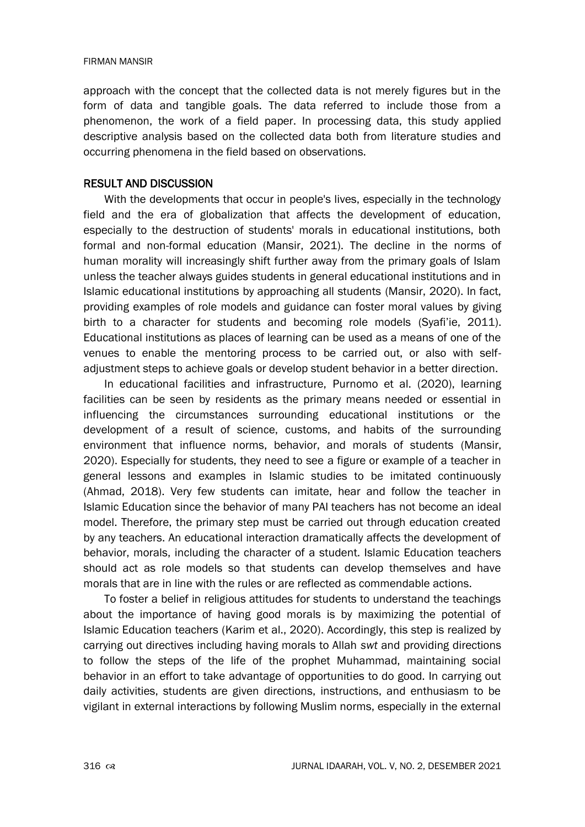#### FIRMAN MANSIR

approach with the concept that the collected data is not merely figures but in the form of data and tangible goals. The data referred to include those from a phenomenon, the work of a field paper. In processing data, this study applied descriptive analysis based on the collected data both from literature studies and occurring phenomena in the field based on observations.

# RESULT AND DISCUSSION

With the developments that occur in people's lives, especially in the technology field and the era of globalization that affects the development of education, especially to the destruction of students' morals in educational institutions, both formal and non-formal education (Mansir, 2021). The decline in the norms of human morality will increasingly shift further away from the primary goals of Islam unless the teacher always guides students in general educational institutions and in Islamic educational institutions by approaching all students (Mansir, 2020). In fact, providing examples of role models and guidance can foster moral values by giving birth to a character for students and becoming role models (Syafi'ie, 2011). Educational institutions as places of learning can be used as a means of one of the venues to enable the mentoring process to be carried out, or also with selfadjustment steps to achieve goals or develop student behavior in a better direction.

In educational facilities and infrastructure, Purnomo et al. (2020), learning facilities can be seen by residents as the primary means needed or essential in influencing the circumstances surrounding educational institutions or the development of a result of science, customs, and habits of the surrounding environment that influence norms, behavior, and morals of students (Mansir, 2020). Especially for students, they need to see a figure or example of a teacher in general lessons and examples in Islamic studies to be imitated continuously (Ahmad, 2018). Very few students can imitate, hear and follow the teacher in Islamic Education since the behavior of many PAI teachers has not become an ideal model. Therefore, the primary step must be carried out through education created by any teachers. An educational interaction dramatically affects the development of behavior, morals, including the character of a student. Islamic Education teachers should act as role models so that students can develop themselves and have morals that are in line with the rules or are reflected as commendable actions.

To foster a belief in religious attitudes for students to understand the teachings about the importance of having good morals is by maximizing the potential of Islamic Education teachers (Karim et al., 2020). Accordingly, this step is realized by carrying out directives including having morals to Allah *swt* and providing directions to follow the steps of the life of the prophet Muhammad, maintaining social behavior in an effort to take advantage of opportunities to do good. In carrying out daily activities, students are given directions, instructions, and enthusiasm to be vigilant in external interactions by following Muslim norms, especially in the external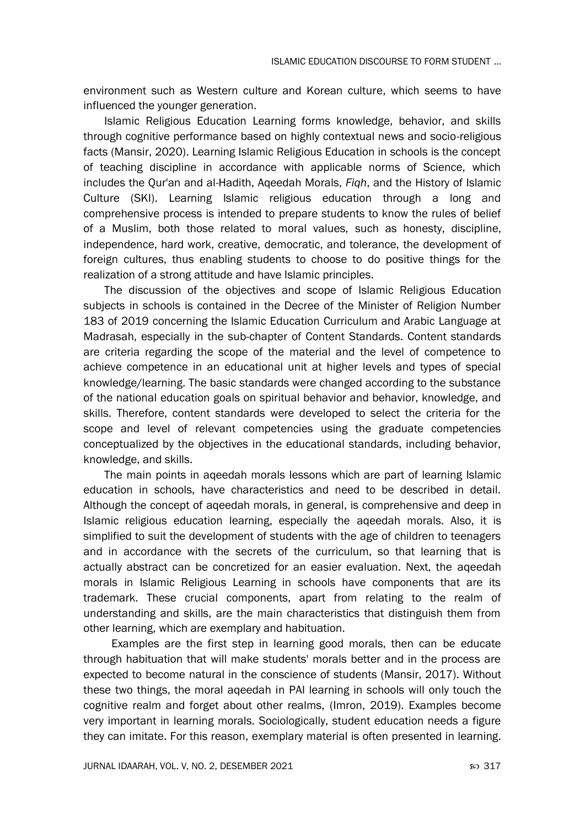environment such as Western culture and Korean culture, which seems to have influenced the younger generation.

Islamic Religious Education Learning forms knowledge, behavior, and skills through cognitive performance based on highly contextual news and socio-religious facts (Mansir, 2020). Learning Islamic Religious Education in schools is the concept of teaching discipline in accordance with applicable norms of Science, which includes the Qur'an and al-Hadith, Aqeedah Morals, *Fiqh*, and the History of Islamic Culture (SKI). Learning Islamic religious education through a long and comprehensive process is intended to prepare students to know the rules of belief of a Muslim, both those related to moral values, such as honesty, discipline, independence, hard work, creative, democratic, and tolerance, the development of foreign cultures, thus enabling students to choose to do positive things for the realization of a strong attitude and have Islamic principles.

The discussion of the objectives and scope of Islamic Religious Education subjects in schools is contained in the Decree of the Minister of Religion Number 183 of 2019 concerning the Islamic Education Curriculum and Arabic Language at Madrasah, especially in the sub-chapter of Content Standards. Content standards are criteria regarding the scope of the material and the level of competence to achieve competence in an educational unit at higher levels and types of special knowledge/learning. The basic standards were changed according to the substance of the national education goals on spiritual behavior and behavior, knowledge, and skills. Therefore, content standards were developed to select the criteria for the scope and level of relevant competencies using the graduate competencies conceptualized by the objectives in the educational standards, including behavior, knowledge, and skills.

The main points in aqeedah morals lessons which are part of learning Islamic education in schools, have characteristics and need to be described in detail. Although the concept of aqeedah morals, in general, is comprehensive and deep in Islamic religious education learning, especially the aqeedah morals. Also, it is simplified to suit the development of students with the age of children to teenagers and in accordance with the secrets of the curriculum, so that learning that is actually abstract can be concretized for an easier evaluation. Next, the aqeedah morals in Islamic Religious Learning in schools have components that are its trademark. These crucial components, apart from relating to the realm of understanding and skills, are the main characteristics that distinguish them from other learning, which are exemplary and habituation.

Examples are the first step in learning good morals, then can be educate through habituation that will make students' morals better and in the process are expected to become natural in the conscience of students (Mansir, 2017). Without these two things, the moral aqeedah in PAI learning in schools will only touch the cognitive realm and forget about other realms, (Imron, 2019). Examples become very important in learning morals. Sociologically, student education needs a figure they can imitate. For this reason, exemplary material is often presented in learning.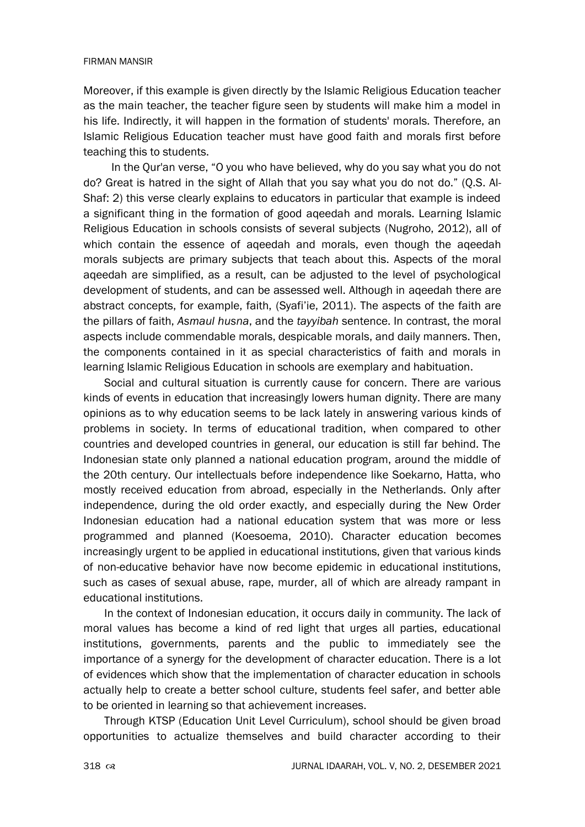#### FIRMAN MANSIR

Moreover, if this example is given directly by the Islamic Religious Education teacher as the main teacher, the teacher figure seen by students will make him a model in his life. Indirectly, it will happen in the formation of students' morals. Therefore, an Islamic Religious Education teacher must have good faith and morals first before teaching this to students.

In the Qur'an verse, "O you who have believed, why do you say what you do not do? Great is hatred in the sight of Allah that you say what you do not do." (Q.S. Al-Shaf: 2) this verse clearly explains to educators in particular that example is indeed a significant thing in the formation of good aqeedah and morals. Learning Islamic Religious Education in schools consists of several subjects (Nugroho, 2012), all of which contain the essence of aqeedah and morals, even though the aqeedah morals subjects are primary subjects that teach about this. Aspects of the moral aqeedah are simplified, as a result, can be adjusted to the level of psychological development of students, and can be assessed well. Although in aqeedah there are abstract concepts, for example, faith, (Syafi'ie, 2011). The aspects of the faith are the pillars of faith, *Asmaul husna*, and the *tayyibah* sentence. In contrast, the moral aspects include commendable morals, despicable morals, and daily manners. Then, the components contained in it as special characteristics of faith and morals in learning Islamic Religious Education in schools are exemplary and habituation.

Social and cultural situation is currently cause for concern. There are various kinds of events in education that increasingly lowers human dignity. There are many opinions as to why education seems to be lack lately in answering various kinds of problems in society. In terms of educational tradition, when compared to other countries and developed countries in general, our education is still far behind. The Indonesian state only planned a national education program, around the middle of the 20th century. Our intellectuals before independence like Soekarno, Hatta, who mostly received education from abroad, especially in the Netherlands. Only after independence, during the old order exactly, and especially during the New Order Indonesian education had a national education system that was more or less programmed and planned (Koesoema, 2010). Character education becomes increasingly urgent to be applied in educational institutions, given that various kinds of non-educative behavior have now become epidemic in educational institutions, such as cases of sexual abuse, rape, murder, all of which are already rampant in educational institutions.

In the context of Indonesian education, it occurs daily in community. The lack of moral values has become a kind of red light that urges all parties, educational institutions, governments, parents and the public to immediately see the importance of a synergy for the development of character education. There is a lot of evidences which show that the implementation of character education in schools actually help to create a better school culture, students feel safer, and better able to be oriented in learning so that achievement increases.

Through KTSP (Education Unit Level Curriculum), school should be given broad opportunities to actualize themselves and build character according to their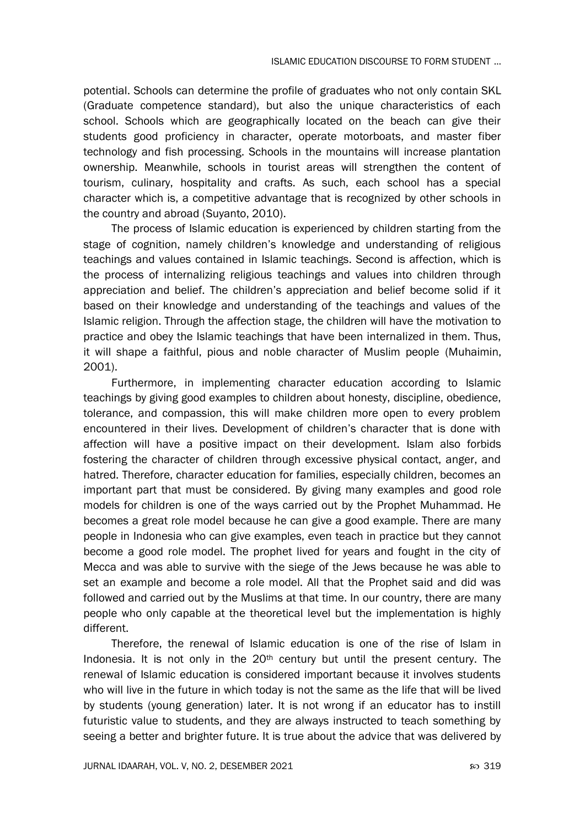potential. Schools can determine the profile of graduates who not only contain SKL (Graduate competence standard), but also the unique characteristics of each school. Schools which are geographically located on the beach can give their students good proficiency in character, operate motorboats, and master fiber technology and fish processing. Schools in the mountains will increase plantation ownership. Meanwhile, schools in tourist areas will strengthen the content of tourism, culinary, hospitality and crafts. As such, each school has a special character which is, a competitive advantage that is recognized by other schools in the country and abroad (Suyanto, 2010).

The process of Islamic education is experienced by children starting from the stage of cognition, namely children's knowledge and understanding of religious teachings and values contained in Islamic teachings. Second is affection, which is the process of internalizing religious teachings and values into children through appreciation and belief. The children's appreciation and belief become solid if it based on their knowledge and understanding of the teachings and values of the Islamic religion. Through the affection stage, the children will have the motivation to practice and obey the Islamic teachings that have been internalized in them. Thus, it will shape a faithful, pious and noble character of Muslim people (Muhaimin, 2001).

Furthermore, in implementing character education according to Islamic teachings by giving good examples to children about honesty, discipline, obedience, tolerance, and compassion, this will make children more open to every problem encountered in their lives. Development of children's character that is done with affection will have a positive impact on their development. Islam also forbids fostering the character of children through excessive physical contact, anger, and hatred. Therefore, character education for families, especially children, becomes an important part that must be considered. By giving many examples and good role models for children is one of the ways carried out by the Prophet Muhammad. He becomes a great role model because he can give a good example. There are many people in Indonesia who can give examples, even teach in practice but they cannot become a good role model. The prophet lived for years and fought in the city of Mecca and was able to survive with the siege of the Jews because he was able to set an example and become a role model. All that the Prophet said and did was followed and carried out by the Muslims at that time. In our country, there are many people who only capable at the theoretical level but the implementation is highly different.

Therefore, the renewal of Islamic education is one of the rise of Islam in Indonesia. It is not only in the  $20<sup>th</sup>$  century but until the present century. The renewal of Islamic education is considered important because it involves students who will live in the future in which today is not the same as the life that will be lived by students (young generation) later. It is not wrong if an educator has to instill futuristic value to students, and they are always instructed to teach something by seeing a better and brighter future. It is true about the advice that was delivered by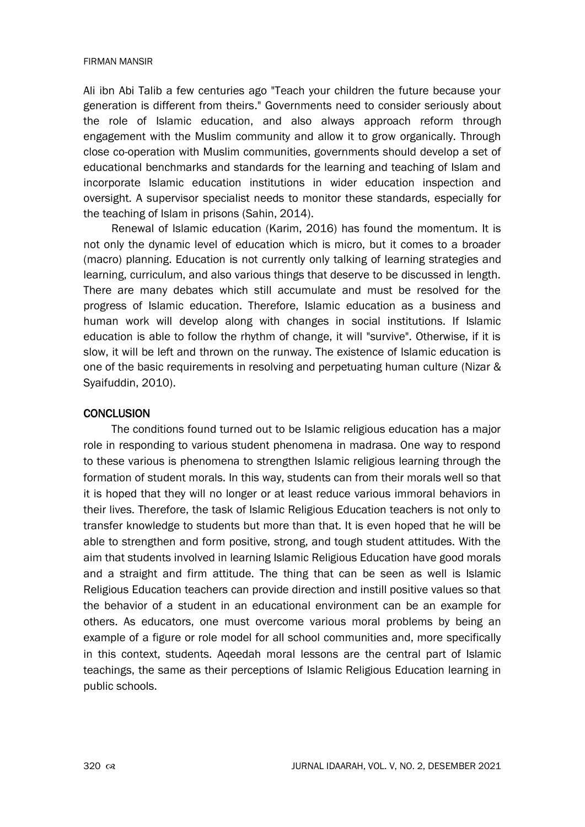#### FIRMAN MANSIR

Ali ibn Abi Talib a few centuries ago "Teach your children the future because your generation is different from theirs." Governments need to consider seriously about the role of Islamic education, and also always approach reform through engagement with the Muslim community and allow it to grow organically. Through close co-operation with Muslim communities, governments should develop a set of educational benchmarks and standards for the learning and teaching of Islam and incorporate Islamic education institutions in wider education inspection and oversight. A supervisor specialist needs to monitor these standards, especially for the teaching of Islam in prisons (Sahin, 2014).

Renewal of Islamic education (Karim, 2016) has found the momentum. It is not only the dynamic level of education which is micro, but it comes to a broader (macro) planning. Education is not currently only talking of learning strategies and learning, curriculum, and also various things that deserve to be discussed in length. There are many debates which still accumulate and must be resolved for the progress of Islamic education. Therefore, Islamic education as a business and human work will develop along with changes in social institutions. If Islamic education is able to follow the rhythm of change, it will "survive". Otherwise, if it is slow, it will be left and thrown on the runway. The existence of Islamic education is one of the basic requirements in resolving and perpetuating human culture (Nizar & Syaifuddin, 2010).

# **CONCLUSION**

The conditions found turned out to be Islamic religious education has a major role in responding to various student phenomena in madrasa. One way to respond to these various is phenomena to strengthen Islamic religious learning through the formation of student morals. In this way, students can from their morals well so that it is hoped that they will no longer or at least reduce various immoral behaviors in their lives. Therefore, the task of Islamic Religious Education teachers is not only to transfer knowledge to students but more than that. It is even hoped that he will be able to strengthen and form positive, strong, and tough student attitudes. With the aim that students involved in learning Islamic Religious Education have good morals and a straight and firm attitude. The thing that can be seen as well is Islamic Religious Education teachers can provide direction and instill positive values so that the behavior of a student in an educational environment can be an example for others. As educators, one must overcome various moral problems by being an example of a figure or role model for all school communities and, more specifically in this context, students. Aqeedah moral lessons are the central part of Islamic teachings, the same as their perceptions of Islamic Religious Education learning in public schools.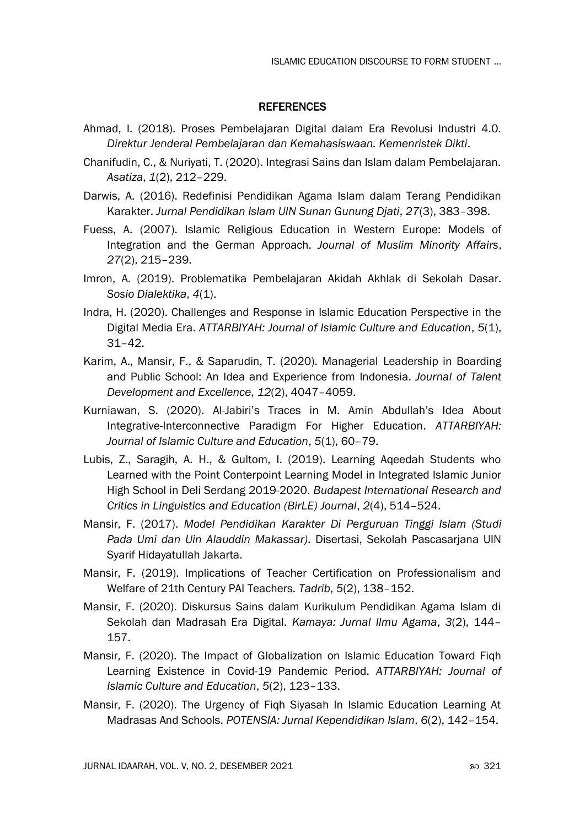### **REFERENCES**

- Ahmad, I. (2018). Proses Pembelajaran Digital dalam Era Revolusi Industri 4.0. *Direktur Jenderal Pembelajaran dan Kemahasiswaan. Kemenristek Dikti*.
- Chanifudin, C., & Nuriyati, T. (2020). Integrasi Sains dan Islam dalam Pembelajaran. *Asatiza*, *1*(2), 212–229.
- Darwis, A. (2016). Redefinisi Pendidikan Agama Islam dalam Terang Pendidikan Karakter. *Jurnal Pendidikan Islam UIN Sunan Gunung Djati*, *27*(3), 383–398.
- Fuess, A. (2007). Islamic Religious Education in Western Europe: Models of Integration and the German Approach. *Journal of Muslim Minority Affairs*, *27*(2), 215–239.
- Imron, A. (2019). Problematika Pembelajaran Akidah Akhlak di Sekolah Dasar. *Sosio Dialektika*, *4*(1).
- Indra, H. (2020). Challenges and Response in Islamic Education Perspective in the Digital Media Era. *ATTARBIYAH: Journal of Islamic Culture and Education*, *5*(1), 31–42.
- Karim, A., Mansir, F., & Saparudin, T. (2020). Managerial Leadership in Boarding and Public School: An Idea and Experience from Indonesia. *Journal of Talent Development and Excellence*, *12*(2), 4047–4059.
- Kurniawan, S. (2020). Al-Jabiri's Traces in M. Amin Abdullah's Idea About Integrative-Interconnective Paradigm For Higher Education. *ATTARBIYAH: Journal of Islamic Culture and Education*, *5*(1), 60–79.
- Lubis, Z., Saragih, A. H., & Gultom, I. (2019). Learning Aqeedah Students who Learned with the Point Conterpoint Learning Model in Integrated Islamic Junior High School in Deli Serdang 2019-2020. *Budapest International Research and Critics in Linguistics and Education (BirLE) Journal*, *2*(4), 514–524.
- Mansir, F. (2017). *Model Pendidikan Karakter Di Perguruan Tinggi Islam (Studi Pada Umi dan Uin Alauddin Makassar)*. Disertasi, Sekolah Pascasarjana UIN Syarif Hidayatullah Jakarta.
- Mansir, F. (2019). Implications of Teacher Certification on Professionalism and Welfare of 21th Century PAI Teachers. *Tadrib*, *5*(2), 138–152.
- Mansir, F. (2020). Diskursus Sains dalam Kurikulum Pendidikan Agama Islam di Sekolah dan Madrasah Era Digital. *Kamaya: Jurnal Ilmu Agama*, *3*(2), 144– 157.
- Mansir, F. (2020). The Impact of Globalization on Islamic Education Toward Fiqh Learning Existence in Covid-19 Pandemic Period. *ATTARBIYAH: Journal of Islamic Culture and Education*, *5*(2), 123–133.
- Mansir, F. (2020). The Urgency of Fiqh Siyasah In Islamic Education Learning At Madrasas And Schools. *POTENSIA: Jurnal Kependidikan Islam*, *6*(2), 142–154.